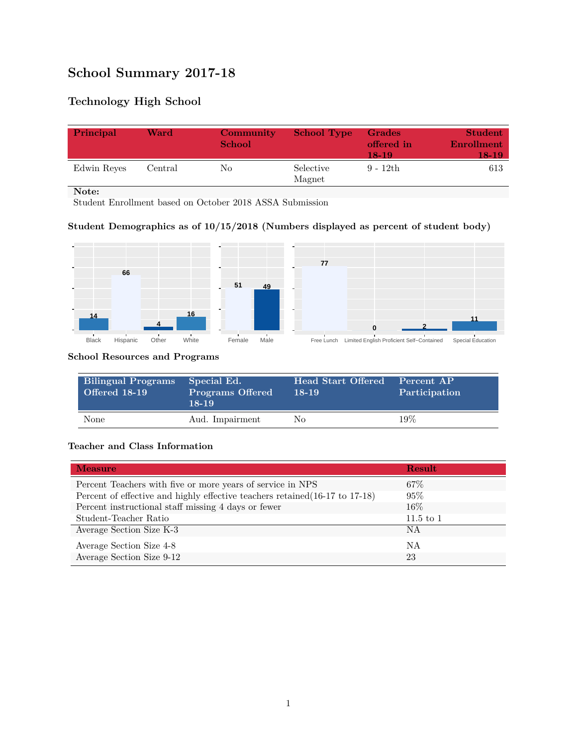# **School Summary 2017-18**

# **Technology High School**

| Principal   | Ward    | Community<br><b>School</b> | <b>School Type</b>  | <b>Grades</b><br>offered in<br>18-19 | <b>Student</b><br>Enrollment<br>18-19' |
|-------------|---------|----------------------------|---------------------|--------------------------------------|----------------------------------------|
| Edwin Reyes | Central | No                         | Selective<br>Magnet | $9 - 12th$                           | 613                                    |

**Note:**

Student Enrollment based on October 2018 ASSA Submission

## **Student Demographics as of 10/15/2018 (Numbers displayed as percent of student body)**



#### **School Resources and Programs**

| <b>Bilingual Programs</b><br><b>Offered 18-19</b> | Special Ed.<br><b>Programs Offered</b><br>$18 - 19$ | <b>Head Start Offered</b><br>$18-19$ | Percent AP<br>Participation |
|---------------------------------------------------|-----------------------------------------------------|--------------------------------------|-----------------------------|
| None                                              | Aud. Impairment                                     | Nο                                   | 19%                         |

### **Teacher and Class Information**

| <b>Measure</b>                                                               | <b>Result</b> |
|------------------------------------------------------------------------------|---------------|
| Percent Teachers with five or more years of service in NPS                   | $67\%$        |
| Percent of effective and highly effective teachers retained (16-17 to 17-18) | 95%           |
| Percent instructional staff missing 4 days or fewer                          | $16\%$        |
| Student-Teacher Ratio                                                        | $11.5$ to 1   |
| Average Section Size K-3                                                     | <b>NA</b>     |
| Average Section Size 4-8                                                     | ΝA            |
| Average Section Size 9-12                                                    | 23            |